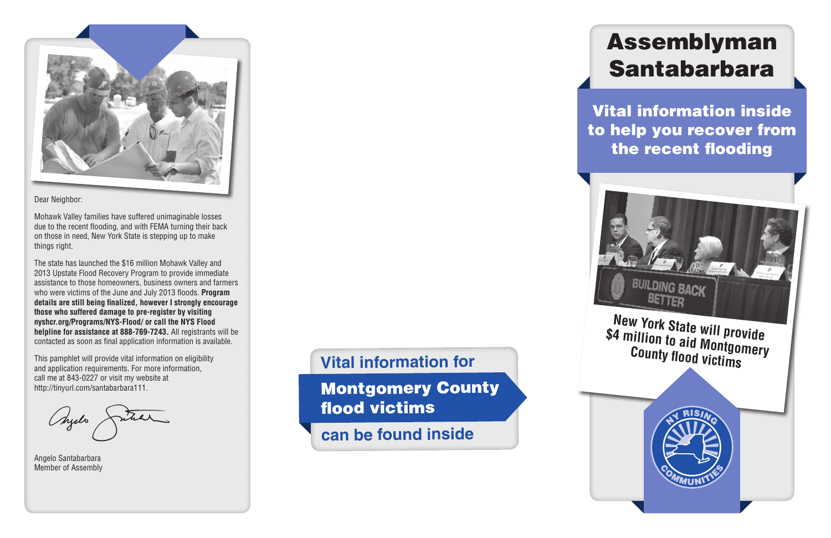

#### Dear Neighbor:

Mohawk Valley families have suffered unimaginable losses due to the recent flooding, and with FEMA turning their back on those in need, New York State is stepping up to make things right.

The state has launched the \$16 million Mohawk Valley and 2013 Upstate Flood Recovery Program to provide immediate assistance to those homeowners, business owners and farmers who were victims of the June and July 2013 floods. **Program details are still being finalized, however I strongly encourage those who suffered damage to pre-register by visiting nyshcr.org/Programs/NYS-Flood/ or call the NYS Flood helpline for assistance at 888-769-7243.** All registrants will be contacted as soon as final application information is available.

This pamphlet will provide vital information on eligibility and application requirements. For more information, call me at 843-0227 or visit my website at http://tinyurl.com/santabarbara111.

Angelo Santabarbara Member of Assembly

# Assemblyman Santabarbara



Vital information inside to help you recover from the recent flooding

# **Vital information for**

Montgomery County flood victims

**can be found inside**